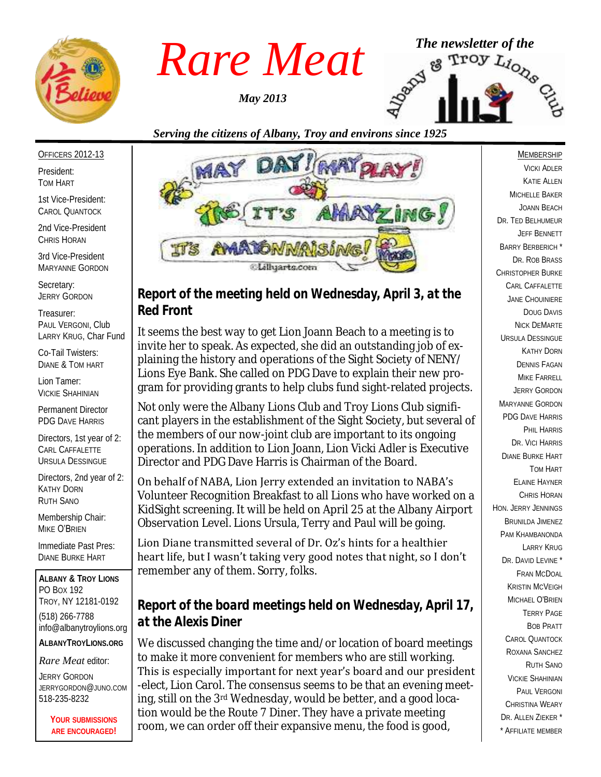

OFFICERS 2012-13

1st Vice-President: CAROL QUANTOCK 2nd Vice-President CHRIS HORAN 3rd Vice-President

President: TOM HART

*May 2013*



*Serving the citizens of Albany, Troy and environs since 1925*



MARYANNE GORDON Secretary: JERRY GORDON

Treasurer: PAUL VERGONI, Club LARRY KRUG, Char Fund

Co-Tail Twisters: DIANE & TOM HART

Lion Tamer: VICKIE SHAHINIAN

Permanent Director PDG DAVE HARRIS

Directors, 1st year of 2: CARL CAFFALETTE URSULA DESSINGUE

Directors, 2nd year of 2: KATHY DORN RUTH SANO

Membership Chair: MIKE O'BRIEN

Immediate Past Pres: DIANE BURKE HART

**ALBANY & TROY LIONS** PO BOX 192 TROY, NY 12181-0192 (518) 266-7788 info@albanytroylions.org **ALBANYTROYLIONS.ORG**

*Rare Meat* editor:

JERRY GORDON JERRYGORDON@JUNO.COM 518-235-8232

> **YOUR SUBMISSIONS ARE ENCOURAGED!**

### *Report of the meeting held on Wednesday, April 3, at the Red Front*

It seems the best way to get Lion Joann Beach to a meeting is to invite her to speak. As expected, she did an outstanding job of explaining the history and operations of the Sight Society of NENY/ Lions Eye Bank. She called on PDG Dave to explain their new program for providing grants to help clubs fund sight-related projects.

Not only were the Albany Lions Club and Troy Lions Club significant players in the establishment of the Sight Society, but several of the members of our now-joint club are important to its ongoing operations. In addition to Lion Joann, Lion Vicki Adler is Executive Director and PDG Dave Harris is Chairman of the Board.

On behalf of NABA, Lion Jerry extended an invitation to NABA's Volunteer Recognition Breakfast to all Lions who have worked on a KidSight screening. It will be held on April 25 at the Albany Airport Observation Level. Lions Ursula, Terry and Paul will be going.

Lion Diane transmitted several of Dr. Oz's hints for a healthier heart life, but I wasn't taking very good notes that night, so I don't remember any of them. Sorry, folks.

# *Report of the board meetings held on Wednesday, April 17, at the Alexis Diner*

We discussed changing the time and/or location of board meetings to make it more convenient for members who are still working. This is especially important for next year's board and our president -elect, Lion Carol. The consensus seems to be that an evening meeting, still on the 3rd Wednesday, would be better, and a good location would be the Route 7 Diner. They have a private meeting room, we can order off their expansive menu, the food is good,

VICKI ADLER KATIE ALLEN MICHELLE BAKER JOANN BEACH DR. TED BELHUMEUR JEFF BENNETT BARRY BERBERICH \* DR. ROB BRASS CHRISTOPHER BURKE CARL CAFFALETTE JANE CHOUINIERE DOUG DAVIS NICK DEMARTE URSULA DESSINGUE KATHY DORN DENNIS FAGAN MIKE FARRELL JERRY GORDON MARYANNE GORDON PDG DAVE HARRIS PHIL HARRIS DR. VICI HARRIS DIANE BURKE HART TOM HART ELAINE HAYNER CHRIS HORAN HON. JERRY JENNINGS BRUNILDA JIMENEZ PAM KHAMBANONDA LARRY KRUG DR. DAVID LEVINE<sup>\*</sup> FRAN MCDOAL KRISTIN MCVEIGH MICHAEL O'BRIEN TERRY PAGE BOB PRATT CAROL QUANTOCK ROXANA SANCHEZ RUTH SANO VICKIE SHAHINIAN PAUL VERGONI CHRISTINA WEARY DR. ALLEN ZIEKER \* \* AFFILIATE MEMBER

MEMBERSHIP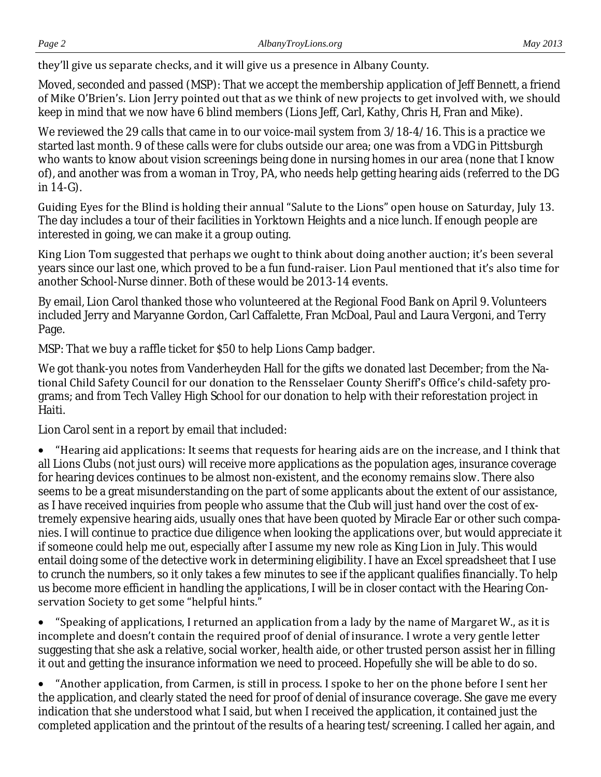they'll give us separate checks, and it will give us a presence in Albany County.

Moved, seconded and passed (MSP): That we accept the membership application of Jeff Bennett, a friend of Mike O'Brien's. Lion Jerry pointed out that as we think of new projects to get involved with, we should keep in mind that we now have 6 blind members (Lions Jeff, Carl, Kathy, Chris H, Fran and Mike).

We reviewed the 29 calls that came in to our voice-mail system from 3/18-4/16. This is a practice we started last month. 9 of these calls were for clubs outside our area; one was from a VDG in Pittsburgh who wants to know about vision screenings being done in nursing homes in our area (none that I know of), and another was from a woman in Troy, PA, who needs help getting hearing aids (referred to the DG in 14-G).

Guiding Eyes for the Blind is holding their annual "Salute to the Lions" open house on Saturday, July 13. The day includes a tour of their facilities in Yorktown Heights and a nice lunch. If enough people are interested in going, we can make it a group outing.

King Lion Tom suggested that perhaps we ought to think about doing another auction; it's been several years since our last one, which proved to be a fun fund-raiser. Lion Paul mentioned that it's also time for another School-Nurse dinner. Both of these would be 2013-14 events.

By email, Lion Carol thanked those who volunteered at the Regional Food Bank on April 9. Volunteers included Jerry and Maryanne Gordon, Carl Caffalette, Fran McDoal, Paul and Laura Vergoni, and Terry Page.

MSP: That we buy a raffle ticket for \$50 to help Lions Camp badger.

We got thank-you notes from Vanderheyden Hall for the gifts we donated last December; from the National Child Safety Council for our donation to the Rensselaer County Sheriff's Office's child-safety programs; and from Tech Valley High School for our donation to help with their reforestation project in Haiti.

Lion Carol sent in a report by email that included:

 "Hearing aid applications: It seems that requests for hearing aids are on the increase, and I think that all Lions Clubs (not just ours) will receive more applications as the population ages, insurance coverage for hearing devices continues to be almost non-existent, and the economy remains slow. There also seems to be a great misunderstanding on the part of some applicants about the extent of our assistance, as I have received inquiries from people who assume that the Club will just hand over the cost of extremely expensive hearing aids, usually ones that have been quoted by Miracle Ear or other such companies. I will continue to practice due diligence when looking the applications over, but would appreciate it if someone could help me out, especially after I assume my new role as King Lion in July. This would entail doing some of the detective work in determining eligibility. I have an Excel spreadsheet that I use to crunch the numbers, so it only takes a few minutes to see if the applicant qualifies financially. To help us become more efficient in handling the applications, I will be in closer contact with the Hearing Conservation Society to get some "helpful hints."

 "Speaking of applications, I returned an application from a lady by the name of Margaret W., as it is incomplete and doesn't contain the required proof of denial of insurance. I wrote a very gentle letter suggesting that she ask a relative, social worker, health aide, or other trusted person assist her in filling it out and getting the insurance information we need to proceed. Hopefully she will be able to do so.

 "Another application, from Carmen, is still in process. I spoke to her on the phone before I sent her the application, and clearly stated the need for proof of denial of insurance coverage. She gave me every indication that she understood what I said, but when I received the application, it contained just the completed application and the printout of the results of a hearing test/screening. I called her again, and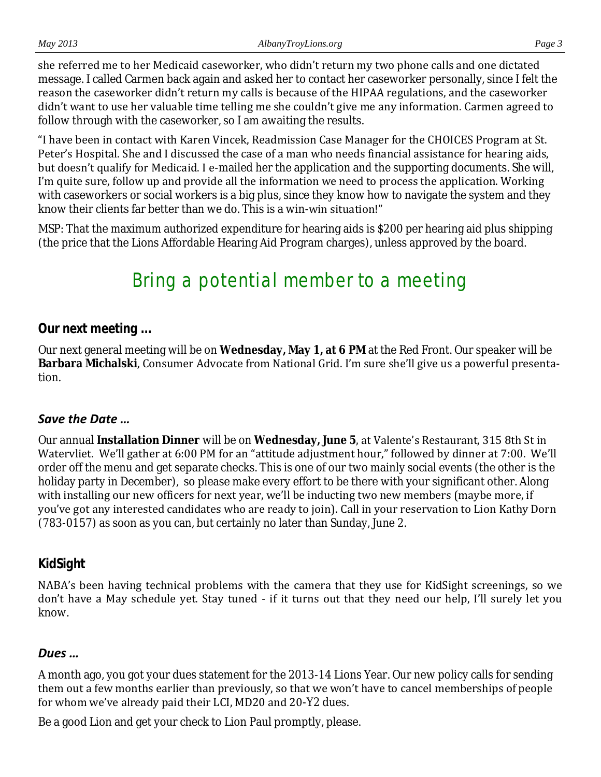she referred me to her Medicaid caseworker, who didn't return my two phone calls and one dictated message. I called Carmen back again and asked her to contact her caseworker personally, since I felt the reason the caseworker didn't return my calls is because of the HIPAA regulations, and the caseworker didn't want to use her valuable time telling me she couldn't give me any information. Carmen agreed to follow through with the caseworker, so I am awaiting the results.

"I have been in contact with Karen Vincek, Readmission Case Manager for the CHOICES Program at St. Peter's Hospital. She and I discussed the case of a man who needs financial assistance for hearing aids, but doesn't qualify for Medicaid. I e-mailed her the application and the supporting documents. She will, I'm quite sure, follow up and provide all the information we need to process the application. Working with caseworkers or social workers is a big plus, since they know how to navigate the system and they know their clients far better than we do. This is a win-win situation!"

MSP: That the maximum authorized expenditure for hearing aids is \$200 per hearing aid plus shipping (the price that the Lions Affordable Hearing Aid Program charges), unless approved by the board.

# Bring a potential member to a meeting

#### *Our next meeting ...*

Our next general meeting will be on **Wednesday, May 1, at 6 PM** at the Red Front. Our speaker will be **Barbara Michalski**, Consumer Advocate from National Grid. I'm sure she'll give us a powerful presentation.

#### *Save the Date …*

Our annual **Installation Dinner** will be on **Wednesday, June 5**, at Valente's Restaurant, 315 8th St in Watervliet. We'll gather at 6:00 PM for an "attitude adjustment hour," followed by dinner at 7:00. We'll order off the menu and get separate checks. This is one of our two mainly social events (the other is the holiday party in December), so please make every effort to be there with your significant other. Along with installing our new officers for next year, we'll be inducting two new members (maybe more, if you've got any interested candidates who are ready to join). Call in your reservation to Lion Kathy Dorn (783-0157) as soon as you can, but certainly no later than Sunday, June 2.

#### *KidSight*

NABA's been having technical problems with the camera that they use for KidSight screenings, so we don't have a May schedule yet. Stay tuned - if it turns out that they need our help, I'll surely let you know.

#### *Dues …*

A month ago, you got your dues statement for the 2013-14 Lions Year. Our new policy calls for sending them out a few months earlier than previously, so that we won't have to cancel memberships of people for whom we've already paid their LCI, MD20 and 20-Y2 dues.

Be a good Lion and get your check to Lion Paul promptly, please.